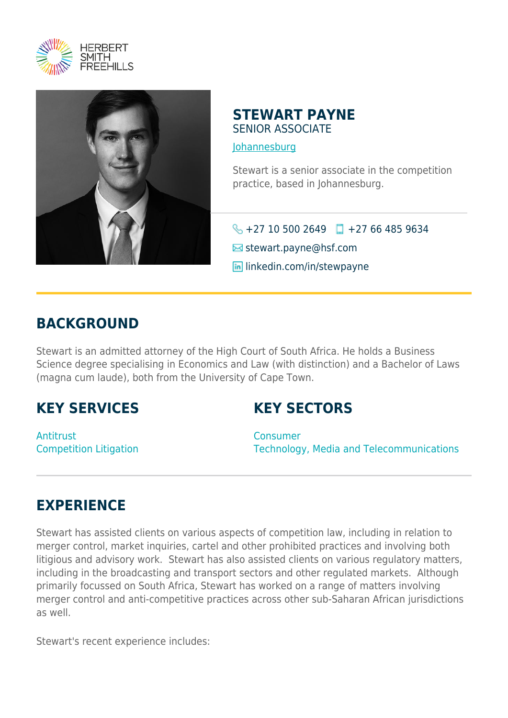



## **STEWART PAYNE** SENIOR ASSOCIATE

[Johannesburg](https://www.herbertsmithfreehills.com/where-we-work/johannesburg)

Stewart is a senior associate in the competition practice, based in Johannesburg.

 $\bigodot$  +27 10 500 2649  $\Box$  +27 66 485 9634

 $\blacksquare$  stewart.payne@hsf.com

**in** linkedin.com/in/stewpayne

## **BACKGROUND**

Stewart is an admitted attorney of the High Court of South Africa. He holds a Business Science degree specialising in Economics and Law (with distinction) and a Bachelor of Laws (magna cum laude), both from the University of Cape Town.

## **KEY SERVICES**

**KEY SECTORS**

Antitrust Competition Litigation

**Consumer** Technology, Media and Telecommunications

## **EXPERIENCE**

Stewart has assisted clients on various aspects of competition law, including in relation to merger control, market inquiries, cartel and other prohibited practices and involving both litigious and advisory work. Stewart has also assisted clients on various regulatory matters, including in the broadcasting and transport sectors and other regulated markets. Although primarily focussed on South Africa, Stewart has worked on a range of matters involving merger control and anti-competitive practices across other sub-Saharan African jurisdictions as well.

Stewart's recent experience includes: